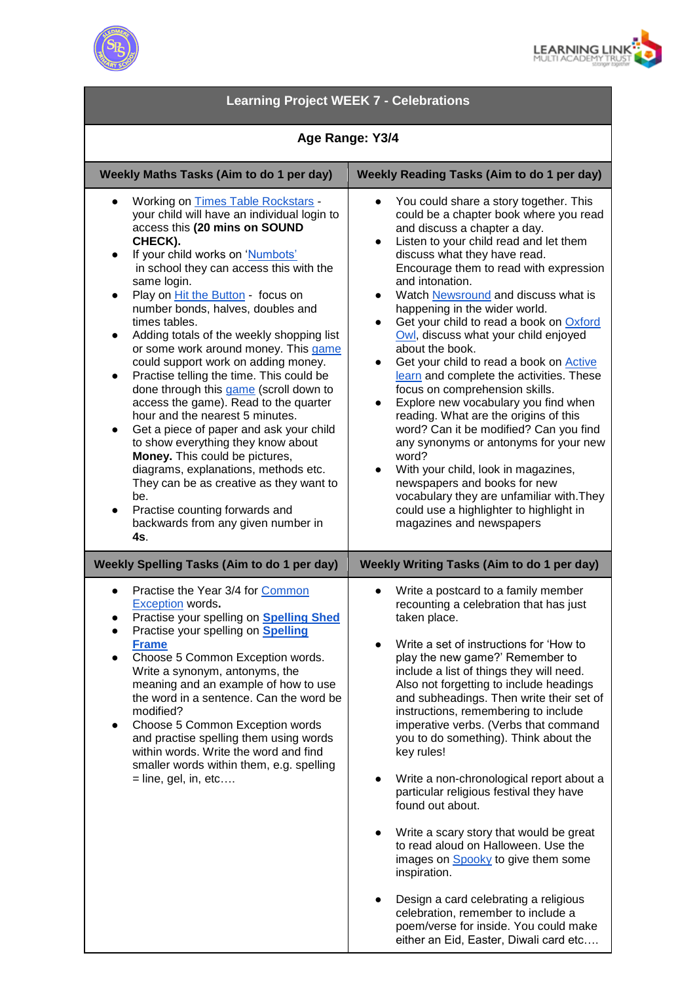



| <b>Learning Project WEEK 7 - Celebrations</b>                                                                                                                                                                                                                                                                                                                                                                                                                                                                                                                                                                                                                                                                                                                                                                                                                                                                                                                                                                |                                                                                                                                                                                                                                                                                                                                                                                                                                                                                                                                                                                                                                                                                                                                                                                                                                                                                                                                                                               |
|--------------------------------------------------------------------------------------------------------------------------------------------------------------------------------------------------------------------------------------------------------------------------------------------------------------------------------------------------------------------------------------------------------------------------------------------------------------------------------------------------------------------------------------------------------------------------------------------------------------------------------------------------------------------------------------------------------------------------------------------------------------------------------------------------------------------------------------------------------------------------------------------------------------------------------------------------------------------------------------------------------------|-------------------------------------------------------------------------------------------------------------------------------------------------------------------------------------------------------------------------------------------------------------------------------------------------------------------------------------------------------------------------------------------------------------------------------------------------------------------------------------------------------------------------------------------------------------------------------------------------------------------------------------------------------------------------------------------------------------------------------------------------------------------------------------------------------------------------------------------------------------------------------------------------------------------------------------------------------------------------------|
| Age Range: Y3/4                                                                                                                                                                                                                                                                                                                                                                                                                                                                                                                                                                                                                                                                                                                                                                                                                                                                                                                                                                                              |                                                                                                                                                                                                                                                                                                                                                                                                                                                                                                                                                                                                                                                                                                                                                                                                                                                                                                                                                                               |
| Weekly Maths Tasks (Aim to do 1 per day)                                                                                                                                                                                                                                                                                                                                                                                                                                                                                                                                                                                                                                                                                                                                                                                                                                                                                                                                                                     | Weekly Reading Tasks (Aim to do 1 per day)                                                                                                                                                                                                                                                                                                                                                                                                                                                                                                                                                                                                                                                                                                                                                                                                                                                                                                                                    |
| <b>Working on Times Table Rockstars -</b><br>your child will have an individual login to<br>access this (20 mins on SOUND<br>CHECK).<br>If your child works on 'Numbots'<br>$\bullet$<br>in school they can access this with the<br>same login.<br>Play on <i>Hit the Button</i> - focus on<br>$\bullet$<br>number bonds, halves, doubles and<br>times tables.<br>Adding totals of the weekly shopping list<br>$\bullet$<br>or some work around money. This game<br>could support work on adding money.<br>Practise telling the time. This could be<br>$\bullet$<br>done through this game (scroll down to<br>access the game). Read to the quarter<br>hour and the nearest 5 minutes.<br>Get a piece of paper and ask your child<br>$\bullet$<br>to show everything they know about<br>Money. This could be pictures,<br>diagrams, explanations, methods etc.<br>They can be as creative as they want to<br>be.<br>Practise counting forwards and<br>$\bullet$<br>backwards from any given number in<br>4s. | You could share a story together. This<br>could be a chapter book where you read<br>and discuss a chapter a day.<br>Listen to your child read and let them<br>$\bullet$<br>discuss what they have read.<br>Encourage them to read with expression<br>and intonation.<br>Watch Newsround and discuss what is<br>happening in the wider world.<br>Get your child to read a book on Oxford<br>Owl, discuss what your child enjoyed<br>about the book.<br>Get your child to read a book on Active<br>learn and complete the activities. These<br>focus on comprehension skills.<br>Explore new vocabulary you find when<br>$\bullet$<br>reading. What are the origins of this<br>word? Can it be modified? Can you find<br>any synonyms or antonyms for your new<br>word?<br>With your child, look in magazines,<br>$\bullet$<br>newspapers and books for new<br>vocabulary they are unfamiliar with. They<br>could use a highlighter to highlight in<br>magazines and newspapers |
| <b>Weekly Spelling Tasks (Aim to do 1 per day)</b><br>Weekly Writing Tasks (Aim to do 1 per day)                                                                                                                                                                                                                                                                                                                                                                                                                                                                                                                                                                                                                                                                                                                                                                                                                                                                                                             |                                                                                                                                                                                                                                                                                                                                                                                                                                                                                                                                                                                                                                                                                                                                                                                                                                                                                                                                                                               |
| Practise the Year 3/4 for Common<br><b>Exception words.</b><br>Practise your spelling on <b>Spelling Shed</b><br>Practise your spelling on <b>Spelling</b><br><b>Frame</b><br>Choose 5 Common Exception words.<br>Write a synonym, antonyms, the<br>meaning and an example of how to use<br>the word in a sentence. Can the word be<br>modified?<br>Choose 5 Common Exception words<br>$\bullet$<br>and practise spelling them using words<br>within words. Write the word and find<br>smaller words within them, e.g. spelling<br>$=$ line, gel, in, etc                                                                                                                                                                                                                                                                                                                                                                                                                                                    | Write a postcard to a family member<br>recounting a celebration that has just<br>taken place.<br>Write a set of instructions for 'How to<br>play the new game?' Remember to<br>include a list of things they will need.<br>Also not forgetting to include headings<br>and subheadings. Then write their set of<br>instructions, remembering to include<br>imperative verbs. (Verbs that command<br>you to do something). Think about the<br>key rules!<br>Write a non-chronological report about a<br>particular religious festival they have<br>found out about.<br>Write a scary story that would be great<br>to read aloud on Halloween. Use the<br>images on <b>Spooky</b> to give them some<br>inspiration.<br>Design a card celebrating a religious<br>celebration, remember to include a<br>poem/verse for inside. You could make<br>either an Eid, Easter, Diwali card etc                                                                                            |